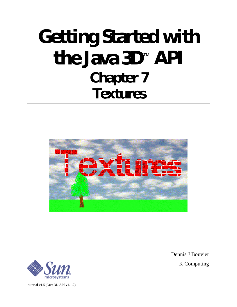# **Getting Started with the Java 3D**™ **API Chapter 7 Textures**



microsystems

tutorial v1.5 (Java 3D API v1.1.2)

Dennis J Bouvier

K Computing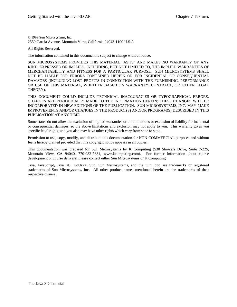© 1999 Sun Microsystems, Inc. 2550 Garcia Avenue, Mountain View, California 94043-1100 U.S.A

All Rights Reserved.

The information contained in this document is subject to change without notice.

SUN MICROSYSTEMS PROVIDES THIS MATERIAL "AS IS" AND MAKES NO WARRANTY OF ANY KIND, EXPRESSED OR IMPLIED, INCLUDING, BUT NOT LIMITED TO, THE IMPLIED WARRANTIES OF MERCHANTABILITY AND FITNESS FOR A PARTICULAR PURPOSE. SUN MICROSYSTEMS SHALL NOT BE LIABLE FOR ERRORS CONTAINED HEREIN OR FOR INCIDENTAL OR CONSEQUENTIAL DAMAGES (INCLUDING LOST PROFITS IN CONNECTION WITH THE FURNISHING, PERFORMANCE OR USE OF THIS MATERIAL, WHETHER BASED ON WARRANTY, CONTRACT, OR OTHER LEGAL THEORY).

THIS DOCUMENT COULD INCLUDE TECHNICAL INACCURACIES OR TYPOGRAPHICAL ERRORS. CHANGES ARE PERIODICALLY MADE TO THE INFORMATION HEREIN; THESE CHANGES WILL BE INCORPORATED IN NEW EDITIONS OF THE PUBLICATION. SUN MICROSYSTEMS, INC. MAY MAKE IMPROVEMENTS AND/OR CHANGES IN THE PRODUCT(S) AND/OR PROGRAM(S) DESCRIBED IN THIS PUBLICATION AT ANY TIME.

Some states do not allow the exclusion of implied warranties or the limitations or exclusion of liability for incidental or consequential damages, so the above limitations and exclusion may not apply to you. This warranty gives you specific legal rights, and you also may have other rights which vary from state to state.

Permission to use, copy, modify, and distribute this documentation for NON-COMMERCIAL purposes and without fee is hereby granted provided that this copyright notice appears in all copies.

This documentation was prepared for Sun Microsystems by K Computing (530 Showers Drive, Suite 7-225, Mountain View, CA 94040, 770-982-7881, www.kcomputing.com). For further information about course development or course delivery, please contact either Sun Microsystems or K Computing.

Java, JavaScript, Java 3D, HotJava, Sun, Sun Microsystems, and the Sun logo are trademarks or registered trademarks of Sun Microsystems, Inc. All other product names mentioned herein are the trademarks of their respective owners.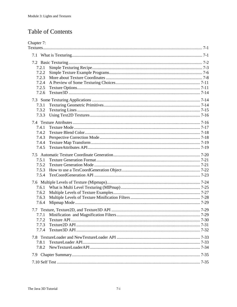# **Table of Contents**

| Chapter 7: |  |
|------------|--|
|            |  |
|            |  |
|            |  |
| 7.2.1      |  |
| 7.2.2      |  |
| 7.2.3      |  |
| 7.2.4      |  |
| 7.2.5      |  |
| 7.2.6      |  |
|            |  |
| 7.3.1      |  |
| 7.3.2      |  |
| 7.3.3      |  |
|            |  |
| 7.4.1      |  |
| 7.4.2      |  |
| 7.4.3      |  |
| 7.4.4      |  |
| 7.4.5      |  |
|            |  |
| 7.5.1      |  |
| 7.5.2      |  |
| 7.5.3      |  |
| 7.5.4      |  |
|            |  |
| 7.6.1      |  |
| 7.6.2      |  |
| 7.6.3      |  |
| 7.6.4      |  |
|            |  |
|            |  |
| 7.7.2      |  |
| 7.7.3      |  |
| 7.7.4      |  |
|            |  |
| 7.8.1      |  |
| 7.8.2      |  |
|            |  |
|            |  |
|            |  |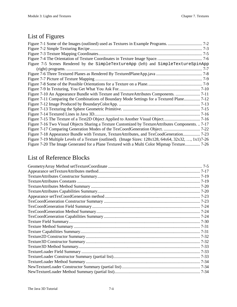# List of Figures

| Figure 7-5 Scenes Rendered by the SimpleTextureApp (left) and SimpleTextureSpinApp                              |  |
|-----------------------------------------------------------------------------------------------------------------|--|
|                                                                                                                 |  |
|                                                                                                                 |  |
|                                                                                                                 |  |
|                                                                                                                 |  |
|                                                                                                                 |  |
|                                                                                                                 |  |
| Figure 7-11 Comparing the Combinations of Boundary Mode Settings for a Textured Plane 7-12                      |  |
|                                                                                                                 |  |
|                                                                                                                 |  |
|                                                                                                                 |  |
|                                                                                                                 |  |
| Figure 7-16 Two Visual Objects Sharing a Texture Customized by TextureAttributes Components 7-17                |  |
|                                                                                                                 |  |
| Figure 7-18 Appearance Bundle with Texture, TextureAttributes, and TexCoodGeneration 7-23                       |  |
| Figure 7-19 Multiple Levels of a Texture (outlined). (Image Sizes: $128x128$ , $64x64$ , $32x32$ , , $1x177-26$ |  |
| Figure 7-20 The Image Generated for a Plane Textured with a Multi Color Mipmap Texture 7-26                     |  |

# List of Reference Blocks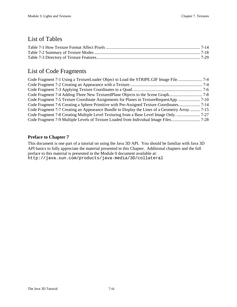## List of Tables

# List of Code Fragments

| Code Fragment 7-7 Creating an Appearance Bundle to Display the Lines of a Geometry Array 7-15 |  |
|-----------------------------------------------------------------------------------------------|--|
|                                                                                               |  |
|                                                                                               |  |

## **Preface to Chapter 7**

This document is one part of a tutorial on using the Java 3D API. You should be familiar with Java 3D API basics to fully appreciate the material presented in this Chapter. Additional chapters and the full preface to this material is presented in the Module 0 document available at: http://java.sun.com/products/java-media/3D/collateral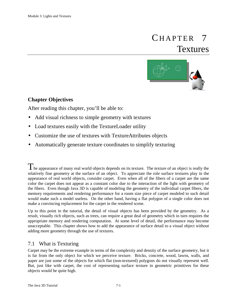# 7 Textures **CHAPTER**



## **Chapter Objectives**

After reading this chapter, you'll be able to:

- Add visual richness to simple geometry with textures
- Load textures easily with the TextureLoader utility
- Customize the use of textures with TextureAttributes objects
- Automatically generate texture coordinates to simplify texturing

 $\Gamma$  he appearance of many real world objects depends on its texture. The texture of an object is really the relatively fine geometry at the surface of an object. To appreciate the role surface textures play in the appearance of real world objects, consider carpet. Even when all of the fibers of a carpet are the same color the carpet does not appear as a constant color due to the interaction of the light with geometry of the fibers. Even though Java 3D is capable of modeling the geometry of the individual carpet fibers, the memory requirements and rendering performance for a room size piece of carpet modeled to such detail would make such a model useless. On the other hand, having a flat polygon of a single color does not make a convincing replacement for the carpet in the rendered scene.

Up to this point in the tutorial, the detail of visual objects has been provided by the geometry. As a result, visually rich objects, such as trees, can require a great deal of geometry which in turn requires the appropriate memory and rendering computation. At some level of detail, the performance may become unacceptable. This chapter shows how to add the appearance of surface detail to a visual object without adding more geometry through the use of textures.

## 7.1 What is Texturing

Carpet may be the extreme example in terms of the complexity and density of the surface geometry, but it is far from the only object for which we perceive texture. Bricks, concrete, wood, lawns, walls, and paper are just some of the objects for which flat (non-textured) polygons do not visually represent well. But, just like with carpet, the cost of representing surface texture in geometric primitives for these objects would be quite high.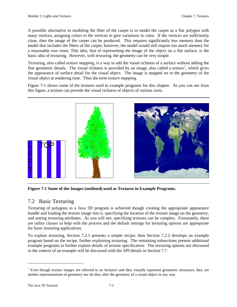A possible alternative to modeling the fiber of the carpet is to model the carpet as a flat polygon with many vertices, assigning colors to the vertices to give variations in color. If the vertices are sufficiently close, then the image of the carpet can be produced. This requires significantly less memory than the model that includes the fibers of the carpet; however, the model would still require too much memory for a reasonable size room. This idea, that of representing the image of the object on a flat surface, is the basic idea of texturing. However, with texturing, the geometry can be very simple.

Texturing, also called *texture mapping*, is a way to add the visual richness of a surface without adding the fine geometric details. The visual richness is provided by an image, also called a *texture<sup>1</sup>* , which gives the appearance of surface detail for the visual object. The image is mapped on to the geometry of the visual object at rendering time. Thus the term *texture mapping*.

Figure 7-1 shows some of the textures used in example programs for this chapter. As you can see from this figure, a texture can provide the visual richness of objects of various sizes.



**Figure 7-1 Some of the Images (outlined) used as Textures in Example Programs.**

## 7.2 Basic Texturing

Texturing of polygons in a Java 3D program is achieved though creating the appropriate appearance bundle and loading the texture image into it, specifying the location of the texture image on the geometry, and setting texturing attributes. As you will see, specifying textures can be complex. Fortunately, there are utility classes to help with the process and the default settings for texturing options are appropriate for basic texturing applications.

To explain texturing, Section 7.2.1 presents a simple recipe; then Section 7.2.2 develops an example program based on the recipe, further explaining texturing. The remaining subsections present additional example programs to further explain details of texture specification. The texturing options not discussed in the context of an example will be discussed with the API details in Section 7.7.

 $\overline{a}$ 

 $1$  Even though texture images are referred to as 'textures' and they visually represent geometric structures, they are neither representations of geometry nor do they alter the geometry of a visual object in any way.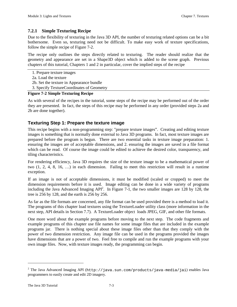## **7.2.1 Simple Texturing Recipe**

Due to the flexibility of texturing in the Java 3D API, the number of texturing related options can be a bit bothersome. Even so, texturing need not be difficult. To make easy work of texture specifications, follow the simple recipe of Figure 7-2.

The recipe only outlines the steps directly related to texturing. The reader should realize that the geometry and appearance are set in a Shape3D object which is added to the scene graph. Previous chapters of this tutorial, Chapters 1 and 2 in particular, cover the implied steps of the recipe

1. Prepare texture images

- 2a. Load the texture
- 2b. Set the texture in Appearance bundle
- 3. Specify TextureCoordinates of Geometry

## **Figure 7-2 Simple Texturing Recipe**

As with several of the recipes in the tutorial, some steps of the recipe may be performed out of the order they are presented. In fact, the steps of this recipe may be performed in any order (provided steps 2a and 2b are done together).

## **Texturing Step 1: Prepare the texture image**

This recipe begins with a non-programming step: "prepare texture images". Creating and editing texture images is something that is normally done external to Java 3D programs. In fact, most texture images are prepared before the program is begun. There are two essential tasks in texture image preparation: 1. ensuring the images are of acceptable dimensions, and 2. ensuring the images are saved in a file format which can be read. Of course the image could be edited to achieve the desired color, transparency, and tiling characteristics.

For rendering efficiency, Java 3D requires the size of the texture image to be a mathematical power of two (1, 2, 4, 8, 16, …) in each dimension. Failing to meet this restriction will result in a runtime exception.

If an image is not of acceptable dimensions, it must be modified (scaled or cropped) to meet the dimension requirements before it is used. Image editing can be done in a wide variety of programs including the Java Advanced Imaging  $API^2$ . In Figure 7-1, the two smaller images are 128 by 128, the tree is 256 by 128, and the earth is 256 by 256.

As far as the file formats are concerned, any file format can be used provided there is a method to load it. The programs of this chapter load textures using the TextureLoader utility class (more information in the next step, API details in Section 7.7). A TextureLoader object loads JPEG, GIF, and other file formats.

One more word about the example programs before moving to the next step. The code fragments and example programs of this chapter use file names for some image files that are included in the example programs jar. There is nothing special about these image files other than that they comply with the power of two dimension restriction. Any image file can be used in the programs provided the images have dimensions that are a power of two. Feel free to compile and run the example programs with your own image files. Now, with texture images ready, the programming can begin.

 $\overline{a}$ 

 $^2$  The Java Advanced Imaging API (http://java.sun.com/products/java-media/jai) enables Java programmers to easily create and edit 2D imagery.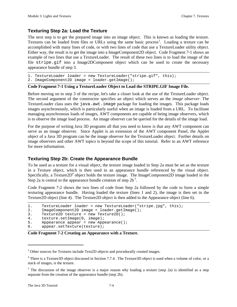## **Texturing Step 2a: Load the Texture**

The next step is to get the prepared image into an image object. This is known as loading the texture. Textures can be loaded from files or URLs using the same basic process<sup>3</sup>. Loading a texture can be accomplished with many lines of code, or with two lines of code that use a TextureLoader utility object. Either way, the result is to get the image into a ImageComponent2D object. Code Fragment 7-1 shows an example of two lines that use a TextureLoader. The result of these two lines is to load the image of the file stripe.gif into a Image2DComponent object which can be used to create the necessary appearance bundle of step 3.

```
1. TextureLoader loader = new TextureLoader("stripe.gif", this);
```

```
2. ImageComponent2D image = loader.getImage();
```
#### **Code Fragment 7-1 Using a TextureLoader Object to Load the STRIPE.GIF Image File.**

Before moving on to step 3 of the recipe, let's take a closer look at the use of the TextureLoader object. The second argument of the constructor specifies an object which serves an the *image observer*. The TextureLoader class uses the java.awt.image package for loading the images. This package loads images asynchronously, which is particularly useful when an image is loaded from a URL. To facilitate managing asynchronous loads of images, AWT components are capable of being image observers, which is to observe the image load process. An image observer can be queried for the details of the image load.

For the purpose of writing Java 3D programs all that you need to know is that any AWT component can serve as an image observer. Since Applet is an extension of the AWT component Panel, the Applet object of a Java 3D program can be the image observer for the TextureLoader object. Further details on image observers and other AWT topics is beyond the scope of this tutorial. Refer to an AWT reference for more information.

## **Texturing Step 2b: Create the Appearance Bundle**

To be used as a texture for a visual object, the texture image loaded in Step 2a must be set as the texture in a Texture object, which is then used in an appearance bundle referenced by the visual object. Specifically, a Texture2D<sup>4</sup> object holds the texture image. The ImageComponent2D image loaded in the Step 2a is central to the appearance bundle creation of step  $2b^5$ .

Code Fragment 7-2 shows the two lines of code from Step 2a followed by the code to form a simple texturing appearance bundle. Having loaded the texture (lines 1 and 2), the image is then set in the Texture2D object (line 4). The Texture2D object is then added to the Appearance object (line 6).

```
1. TextureLoader loader = new TextureLoader("stripe.jpg", this);<br>2. ImageComponent2D image = loader.getImage();
```

```
2. ImageComponent2D image = loader.getImage();
```

```
3. Texture2D texture = new Texture2D();
```

```
4. texture.setImage(0, image);
```

```
5. Appearance appear = new Appearance();
```

```
6. appear.setTexture(texture);
```

```
Code Fragment 7-2 Creating an Appearance with a Texture.
```
l

<sup>&</sup>lt;sup>3</sup> Other sources for Textures include Text2D objects and procedurally created images.

 $4$  There is a Texture3D object discussed in Section 7.7.4. The Texture3D object is used when a volume of color, or a stack of images, is the texture.

<sup>&</sup>lt;sup>5</sup> The discussion of the image observer is a major reason why loading a texture (step 2a) is identified as a step separate from the creation of the appearance bundle (step 2b).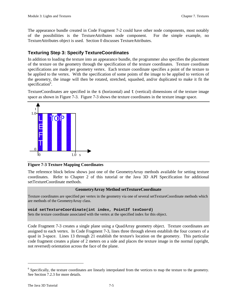The appearance bundle created in Code Fragment 7-2 could have other node components, most notably of the possibilities is the TextureAttributes node component. For the simple example, no TextureAttributes object is used. Section 0 discusses TextureAttributes.

## **Texturing Step 3: Specify TextureCoordinates**

In addition to loading the texture into an appearance bundle, the programmer also specifies the placement of the texture on the geometry through the specification of the texture coordinates. Texture coordinate specifications are made per geometry vertex. Each texture coordinate specifies a point of the texture to be applied to the vertex. With the specification of some points of the image to be applied to vertices of the geometry, the image will then be rotated, stretched, squashed, and/or duplicated to make it fit the specification<sup>6</sup>.

TextureCoordinates are specified in the s (horizontal) and t (vertical) dimensions of the texture image space as shown in Figure 7-3. Figure 7-3 shows the texture coordinates in the texture image space.



**Figure 7-3 Texture Mapping Coordinates**

The reference block below shows just one of the GeometryArray methods available for setting texture coordinates. Refer to Chapter 2 of this tutorial or the Java 3D API Specification for additional setTextureCoordinate methods.

#### **GeometryArray Method setTextureCoordinate**

Texture coordinates are specified per vertex in the geometry via one of several setTextureCoordinate methods which are methods of the GeometryArray class.

#### **void setTextureCoordinate(int index, Point2f texCoord)**

Sets the texture coordinate associated with the vertex at the specified index for this object.

Code Fragment 7-3 creates a single plane using a QuadArray geometry object. Texture coordinates are assigned to each vertex. In Code Fragment 7-3, lines three through eleven establish the four corners of a quad in 3-space. Lines 13 through 21 establish the texture's location on the geometry. This particular code fragment creates a plane of 2 meters on a side and places the texture image in the normal (upright, not reversed) orientation across the face of the plane.

 $\overline{a}$ 

<sup>&</sup>lt;sup>6</sup> Specifically, the texture coordinates are linearly interpolated from the vertices to map the texture to the geometry. See Section 7.2.3 for more details.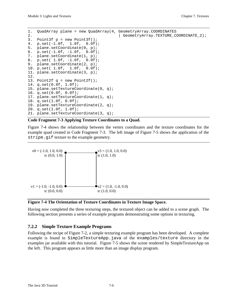```
1. QuadArray plane = new QuadArray(4, GeometryArray.COORDINATES
2. | GeometryArray.TEXTURE_COORDINATE_2);
3. Point3f p = new Point3f();
4. p.set(-1.0f, 1.0f, 0.0f);
5. plane.setCoordinate(0, p);
6. p.set(-1.0f, -1.0f, 0.0f);
7. plane.setCoordinate(1, p);
8. p.set( 1.0f, -1.0f, 0.0f);
9. plane.setCoordinate(2, p);
10. p.set( 1.0f, 1.0f, 0.0f);
11. plane.setCoordinate(3, p);
12.
13. Point2f q = new Point2f();
14. q.set(0.0f, 1.0f);
15. plane.setTextureCoordinate(0, q);
16. q.set(0.0f, 0.0f);
17. plane.setTextureCoordinate(1, q);
18. q.set(1.0f, 0.0f);
19. plane.setTextureCoordinate(2, q);
20. q.set(1.0f, 1.0f);
21. plane.setTextureCoordinate(3, q);
```
#### **Code Fragment 7-3 Applying Texture Coordinates to a Quad.**

Figure 7-4 shows the relationship between the vertex coordinates and the texture coordinates for the example quad created in Code Fragment 7-3. The left image of Figure 7-5 shows the application of the stripe.gif texture to the example geometry.



#### **Figure 7-4 The Orientation of Texture Coordinates in Texture Image Space.**

Having now completed the three texturing steps, the textured object can be added to a scene graph. The following section presents a series of example programs demonstrating some options in texturing.

## **7.2.2 Simple Texture Example Programs**

Following the recipe of Figure 7-2, a simple texturing example program has been developed. A complete example is found in SimpleTextureApp.java of the examples/texture directory in the examples jar available with this tutorial. Figure 7-5 shows the scene rendered by SimpleTextureApp on the left. This program appears as little more than an image display program.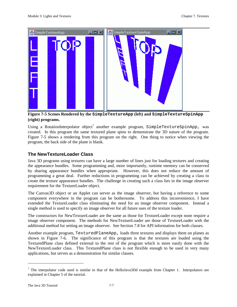

## **Figure 7-5 Scenes Rendered by the SimpleTextureApp (left) and SimpleTextureSpinApp (right) programs.**

Using a RotationInterpolator object<sup>7</sup> another example program, SimpleTextureSpinApp, was created. In this program the same textured plane spins to demonstrate the 3D nature of the program. Figure 7-5 shows a rendering from this program on the right. One thing to notice when viewing the program, the back side of the plane is blank.

## **The NewTextureLoader Class**

Java 3D programs using textures can have a large number of lines just for loading textures and creating the appearance bundles. Some programming and, more importantly, runtime memory can be conserved by sharing appearance bundles when appropriate. However, this does not reduce the amount of programming a great deal. Further reductions in programming can be achieved by creating a class to create the texture appearance bundles. The challenge in creating such a class lies in the image observer requirement for the TextureLoader object.

The Canvas3D object or an Applet can server as the image observer, but having a reference to some component everywhere in the program can be bothersome. To address this inconvenience, I have extended the TextureLoader class eliminating the need for an image observer component. Instead a single method is used to specify an image observer for all future uses of the texture loader.

The constructors for NewTextureLoader are the same as those for TextureLoader except none require a image observer component. The methods for NewTextureLoader are those of TextureLoader with the additional method for setting an image observer. See Section 7.8 for API information for both classes.

Another example program, TexturedPlaneApp, loads three textures and displays them on planes as shown in Figure 7-6. The significance of this program is that the textures are loaded using the TexturedPlane class defined external to the rest of the program which is more easily done with the NewTextureLoader class. This TexturedPlane class is not flexible enough to be used in very many applications, but serves as a demonstration for similar classes.

 $\overline{a}$ 

<sup>&</sup>lt;sup>7</sup> The interpolator code used is similar to that of the HelloJava3Dd example from Chapter 1. Interpolators are explained in Chapter 5 of the tutorial.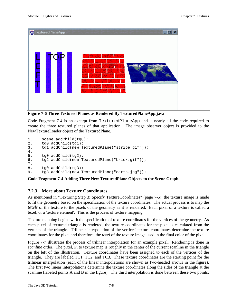

**Figure 7-6 Three Textured Planes as Rendered By TexturedPlaneApp.java**

Code Fragment 7-4 is an excerpt from TexturedPlaneApp and is nearly all the code required to create the three textured planes of that application. The image observer object is provided to the NewTextureLoader object of the TexturedPlane.

```
1. scene.addChild(tg0);
2. tg0.addChild(tg1);
3. tg1.addChild(new TexturedPlane("stripe.gif"));
\frac{4}{5}.
       tg0.addChild(tg2);
6. tg2.addChild(new TexturedPlane("brick.gif"));
\begin{array}{c} 7 \cdot \\ 8 \cdot \end{array}8. tg0.addChild(tg3);<br>9. ta3.addChild(new T9. tg3.addChild(new TexturedPlane("earth.jpg"));
```
**Code Fragment 7-4 Adding Three New TexturedPlane Objects to the Scene Graph.**

## **7.2.3 More about Texture Coordinates**

As mentioned in "Texturing Step 3: Specify TextureCoordinates" (page 7-5), the texture image is made to fit the geometry based on the specification of the texture coordinates. The actual process is to map the *texels* of the texture to the pixels of the geometry as it is rendered. Each pixel of a texture is called a texel, or a 'texture element'. This is the process of texture mapping.

Texture mapping begins with the specification of texture coordinates for the vertices of the geometry. As each pixel of textured triangle is rendered, the texture coordinates for the pixel is calculated from the vertices of the triangle. Trilinear interpolation of the vertices' texture coordinates determine the texture coordinates for the pixel and therefore, the *texel* of the texture image used in the final color of the pixel.

Figure 7-7 illustrates the process of trilinear interpolation for an example pixel. Rendering is done in *scanline* order. The pixel, P, to texture map is roughly in the center of the current scanline in the triangle on the left of the illustration. Texture coordinates have been assigned to each of the vertices of the triangle. They are labeled TC1, TC2, and TC3. These texture coordinates are the starting point for the trilinear interpolation (each of the linear interpolations are shown as two-headed arrows in the figure). The first two linear interpolations determine the texture coordinates along the sides of the triangle at the scanline (labeled points A and B in the figure). The third interpolation is done between these two points.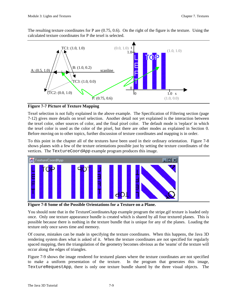The resulting texture coordinates for P are (0.75, 0.6). On the right of the figure is the texture. Using the calculated texture coordinates for P the texel is selected.



**Figure 7-7 Picture of Texture Mapping**

Texel selection is not fully explained in the above example. The Specification of Filtering section (page 7-12) gives more details on texel selection. Another detail not yet explained is the interaction between the texel color, other sources of color, and the final pixel color. The default mode is 'replace' in which the texel color is used as the color of the pixel, but there are other modes as explained in Section 0. Before moving on to other topics, further discussion of texture coordinates and mapping is in order.

To this point in the chapter all of the textures have been used in their ordinary orientation. Figure 7-8 shows planes with a few of the texture orientations possible just by setting the texture coordinates of the vertices. The TextureCoordApp example program produces this image.



**Figure 7-8 Some of the Possible Orientations for a Texture on a Plane.**

You should note that in the TextureCoordinatesApp example program the stripe.gif texture is loaded only once. Only one texture appearance bundle is created which is shared by all four textured planes. This is possible because there is nothing in the texture bundle that is unique for any of the planes. Loading the texture only once saves time and memory.

Of course, mistakes can be made in specifying the texture coordinates. When this happens, the Java 3D rendering system does what is asked of it. When the texture coordinates are not specified for regularly spaced mapping, then the triangulation of the geometry becomes obvious as the 'seams' of the texture will occur along the edges of triangles.

Figure 7-9 shows the image rendered for textured planes where the texture coordinates are not specified to make a uniform presentation of the texture. In the program that generates this image, TextureRequestApp, there is only one texture bundle shared by the three visual objects. The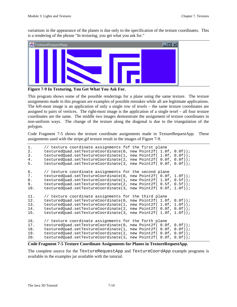variations in the appearance of the planes is due only to the specification of the texture coordinates. This is a rendering of the phrase "In texturing, you get what you ask for."



**Figure 7-9 In Texturing, You Get What You Ask For.**

This program shows some of the possible renderings for a plane using the same texture. The texture assignments made in this program are examples of possible mistakes while all are legitimate applications. The left-most image is an application of only a single row of texels – the same texture coordinates are assigned to pairs of vertices. The right-most image is the application of a single texel – all four texture coordinates are the same. The middle two images demonstrate the assignment of texture coordinates in non-uniform ways. The change of the texture along the diagonal is due to the triangulation of the polygon.

Code Fragment 7-5 shows the texture coordinate assignments made in TextureRequestApp. These assignments used with the stripe.gif texture result in the images of Figure 7-9.

```
1. // texture coordinate assignments fof the first plane
2. texturedQuad.setTextureCoordinate(0, new Point2f( 1.0f, 0.0f));
3. texturedQuad.setTextureCoordinate(1, new Point2f( 1.0f, 0.0f));
4. texturedQuad.setTextureCoordinate(2, new Point2f( 0.0f, 0.0f));
5. texturedQuad.setTextureCoordinate(3, new Point2f( 0.0f, 0.0f));
6. // texture coordinate assignments for the second plane
7. texturedQuad.setTextureCoordinate(0, new Point2f( 0.0f, 1.0f));
8. texturedQuad.setTextureCoordinate(1, new Point2f( 1.0f, 0.5f));
9. texturedQuad.setTextureCoordinate(2, new Point2f( 0.5f, 0.5f));
10. texturedQuad.setTextureCoordinate(3, new Point2f( 0.0f, 1.0f));
11. // texture coordinate assignments for the third plane
12. texturedQuad.setTextureCoordinate(0, new Point2f( 1.0f, 0.0f));
13. texturedQuad.setTextureCoordinate(1, new Point2f( 1.0f, 1.0f));
14. texturedQuad.setTextureCoordinate(2, new Point2f( 0.0f, 0.0f));
15. texturedQuad.setTextureCoordinate(3, new Point2f( 1.0f, 1.0f));
16. // texture coordinate assignments for the forth plane
17. texturedQuad.setTextureCoordinate(0, new Point2f( 0.0f, 0.0f));
18. texturedQuad.setTextureCoordinate(1, new Point2f( 0.0f, 0.0f));
19. texturedQuad.setTextureCoordinate(2, new Point2f( 0.0f, 0.0f));
20. texturedQuad.setTextureCoordinate(3, new Point2f( 0.0f, 0.0f));
```
**Code Fragment 7-5 Texture Coordinate Assignments for Planes in TextureRequestApp.**

The complete source for the TextureRequestApp and TextureCoordApp example programs is available in the examples jar available with the tutorial.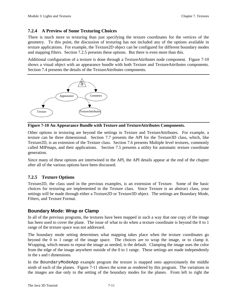## **7.2.4 A Preview of Some Texturing Choices**

There is much more to texturing than just specifying the texture coordinates for the vertices of the geometry. To this point, the discussion of texturing has not included any of the options available in texture applications. For example, the Texture2D object can be configured for different boundary modes and mapping filters. Section 7.2.5 presents these options. But there is even more than this.

Additional configuration of a texture is done through a TextureAttributes node component. Figure 7-10 shows a visual object with an appearance bundle with both Texture and TextureAttributes components. Section 7.4 presents the details of the TextureAttributes components.



**Figure 7-10 An Appearance Bundle with Texture and TextureAttributes Components.**

Other options in texturing are beyond the settings in Texture and TextureAttributes. For example, a texture can be three dimensional. Section 7.7 presents the API for the Texture3D class, which, like Texture2D, is an extension of the Texture class. Section 7.6 presents Multiple level textures, commonly called MIPmaps, and their applications. Section 7.5 presents a utility for automatic texture coordinate generation.

Since many of these options are intertwined in the API, the API details appear at the end of the chapter after all of the various options have been discussed.

## **7.2.5 Texture Options**

Texture2D, the class used in the previous examples, is an extension of Texture. Some of the basic choices for texturing are implemented in the Texture class. Since Texture is an abstract class, your settings will be made through either a Texture2D or Texture3D object. The settings are Boundary Mode, Filters, and Texture Format.

## **Boundary Mode: Wrap or Clamp**

In all of the previous programs, the textures have been mapped in such a way that one copy of the image has been used to cover the plane. The issue of what to do when a texture coordinate is beyond the 0 to 1 range of the texture space was not addressed.

The boundary mode setting determines what mapping takes place when the texture coordinates go beyond the 0 to 1 range of the image space. The choices are to wrap the image, or to clamp it. Wrapping, which means to repeat the image as needed, is the default. Clamping the image uses the color from the edge of the image anywhere outside of the 0 to 1 range. These settings are made independently in the s and t dimensions.

In the BoundaryModeApp example program the texture is mapped onto approximately the middle ninth of each of the planes. Figure 7-11 shows the scene as rendered by this program. The variations in the images are due only to the setting of the boundary modes for the planes. From left to right the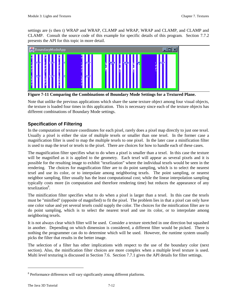settings are (s then t) WRAP and WRAP, CLAMP and WRAP, WRAP and CLAMP, and CLAMP and CLAMP. Consult the source code of this example for specific details of this program. Section 7.7.2 presents the API for this topic in more detail.



**Figure 7-11 Comparing the Combinations of Boundary Mode Settings for a Textured Plane.**

Note that unlike the previous applications which share the same texture object among four visual objects, the texture is loaded four times in this application. This is necessary since each of the texture objects has different combinations of Boundary Mode settings.

## **Specification of Filtering**

In the computation of texture coordinates for each pixel, rarely does a pixel map directly to just one texel. Usually a pixel is either the size of multiple texels or smaller than one texel. In the former case a magnification filter is used to map the multiple texels to one pixel. In the later case a minification filter is used to map the texel or texels to the pixel. There are choices for how to handle each of these cases.

The magnification filter specifies what to do when a pixel is smaller than a texel. In this case the texture will be magnified as it is applied to the geometry. Each texel will appear as several pixels and it is possible for the resulting image to exhibit "texelization" where the individual texels would be seen in the rendering. The choices for magnification filter are to do point sampling, which is to select the nearest texel and use its color, or to interpolate among neighboring texels. The point sampling, or nearest neighbor sampling, filter usually has the least computational cost; while the linear interpolation sampling typically costs more (in computation and therefore rendering time) but reduces the appearance of any texelization<sup>8</sup>.

The minification filter specifies what to do when a pixel is larger than a texel. In this case the texels must be "minified" (opposite of magnified) to fit the pixel. The problem lies in that a pixel can only have one color value and yet several texels could supply the color. The choices for the minification filter are to do point sampling, which is to select the nearest texel and use its color, or to interpolate among neighboring texels.

It is not always clear which filter will be used. Consider a texture stretched in one direction but squashed in another. Depending on which dimension is considered, a different filter would be picked. There is nothing the programmer can do to determine which will be used. However, the runtime system usually picks the filter that results in the better image.

The selection of a filter has other implications with respect to the use of the boundary color (next section). Also, the minification filter choices are more complex when a multiple level texture is used. Multi level texturing is discussed in Section 7.6. Section 7.7.1 gives the API details for filter settings.

l

<sup>&</sup>lt;sup>8</sup> Performance differences will vary significantly among different platforms.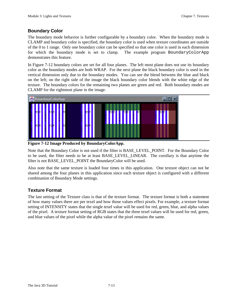## **Boundary Color**

The boundary mode behavior is further configurable by a boundary color. When the boundary mode is CLAMP and boundary color is specified, the boundary color is used when texture coordinates are outside of the 0 to 1 range. Only one boundary color can be specified so that one color is used in each dimension for which the boundary mode is set to clamp. The example program BoundaryColorApp demonstrates this feature.

In Figure 7-12 boundary colors are set for all four planes. The left most plane does not use its boundary color as the boundary modes are both WRAP. For the next plane the black boundary color is used in the vertical dimension only due to the boundary modes. You can see the blend between the blue and black on the left; on the right side of the image the black boundary color blends with the white edge of the texture. The boundary colors for the remaining two planes are green and red. Both boundary modes are CLAMP for the rightmost plane in the image.



**Figure 7-12 Image Produced by BoundaryColorApp.**

Note that the Boundary Color is not used if the filter is BASE\_LEVEL\_POINT. For the Boundary Color to be used, the filter needs to be at least BASE\_LEVEL\_LINEAR. The corollary is that anytime the filter is not BASE\_LEVEL\_POINT the BoundaryColor will be used.

Also note that the same texture is loaded four times in this application. One texture object can not be shared among the four planes in this application since each texture object is configured with a different combination of Boundary Mode settings.

## **Texture Format**

The last setting of the Texture class is that of the texture format. The texture format is both a statement of how many values there are per texel and how those values effect pixels. For example, a texture format setting of INTENSITY states that the single texel value will be used for red, green, blue, and alpha values of the pixel. A texture format setting of RGB states that the three texel values will be used for red, green, and blue values of the pixel while the alpha value of the pixel remains the same.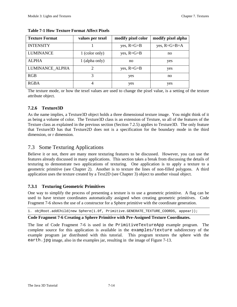| <b>Texture Format</b> | values per texel            | modify pixel color | modify pixel alpha   |
|-----------------------|-----------------------------|--------------------|----------------------|
| <b>INTENSITY</b>      |                             | yes, $R = G = B$   | yes, $R = G = B = A$ |
| LUMINANCE             | 1 (color only)              | yes, $R = G = B$   | no                   |
| <b>ALPHA</b>          | 1 (alpha only)              | no                 | yes                  |
| LUMINANCE ALPHA       | $\mathcal{D}_{\mathcal{A}}$ | yes, $R = G = B$   | yes                  |
| <b>RGB</b>            | 3                           | yes                | no.                  |
| <b>RGBA</b>           |                             | yes                | yes                  |

#### **Table 7-1 How Texture Format Affect Pixels**

The texture mode, or how the texel values are used to change the pixel value, is a setting of the texture attribute object.

## **7.2.6 Texture3D**

As the name implies, a Texture3D object holds a three dimensional texture image. You might think of it as being a volume of color. The Texture3D class is an extension of Texture, so all of the features of the Texture class as explained in the previous section (Section 7.2.5) applies to Texture3D. The only feature that Texture3D has that Texture2D does not is a specification for the boundary mode in the third dimension, or r dimension.

## 7.3 Some Texturing Applications

Believe it or not, there are many more texturing features to be discussed. However, you can use the features already discussed in many applications. This section takes a break from discussing the details of texturing to demonstrate two applications of texturing. One application is to apply a texture to a geometric primitive (see Chapter 2). Another is to texture the lines of non-filled polygons. A third application uses the texture created by a Text2D (see Chapter 3) object to another visual object.

## **7.3.1 Texturing Geometric Primitives**

One way to simplify the process of presenting a texture is to use a geometric primitive. A flag can be used to have texture coordinates automatically assigned when creating geometric primitives. Code Fragment 7-6 shows the use of a constructor for a Sphere primitive with the coordinate generation.

1. objRoot.addChild(new Sphere(1.0f, Primitive.GENERATE\_TEXTURE\_COORDS, appear));

## **Code Fragment 7-6 Creating a Sphere Primitive with Pre-Assigned Texture Coordinates.**

The line of Code Fragment 7-6 is used in the PrimitiveTextureApp example program. The complete source for this application is available in the examples/texture subdirectory of the example program jar distributed with this tutorial. This program textures the sphere with the earth. jpg image, also in the examples jar, resulting in the image of Figure 7-13.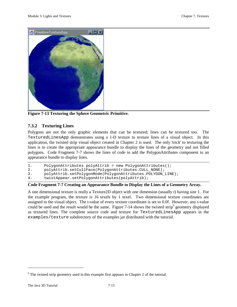

**Figure 7-13 Texturing the Sphere Geometric Primitive.**

## **7.3.2 Texturing Lines**

Polygons are not the only graphic elements that can be textured; lines can be textured too. The TexturedLinesApp demonstrates using a 1-D texture to texture lines of a visual object. In this application, the twisted strip visual object created in Chapter 2 is used. The only 'trick' to texturing the lines is to create the appropriate appearance bundle to display the lines of the geometry and not filled polygons. Code Fragment 7-7 shows the lines of code to add the PolygonAttributes component to an appearance bundle to display lines.

```
1. PolygonAttributes polyAttrib = new PolygonAttributes();
2. polyAttrib.setCullFace(PolygonAttributes.CULL_NONE);
3. polyAttrib.setPolygonMode(PolygonAttributes.POLYGON_LINE);
```

```
4. twistAppear.setPolygonAttributes(polyAttrib);
```
## **Code Fragment 7-7 Creating an Appearance Bundle to Display the Lines of a Geometry Array.**

A one dimensional texture is really a Texture2D object with one dimension (usually t) having size 1. For the example program, the texture is 16 texels by 1 texel. Two dimensional texture coordinates are assigned to the visual object. The t-value of every texture coordinate is set to 0.0f. However, any t-value could be used and the result would be the same. Figure 7-14 shows the twisted strip<sup>9</sup> geometry displayed as textured lines. The complete source code and texture for TexturedLinesApp appears in the examples/texture subdirectory of the examples jar distributed with the tutorial.

l

 $9^9$  The twisted strip geometry used in this example first appears in Chapter 2 of the tutorial.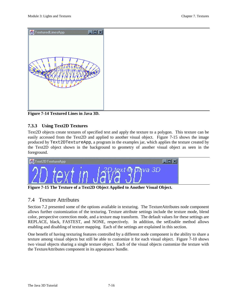

**Figure 7-14 Textured Lines in Java 3D.**

## **7.3.3 Using Text2D Textures**

Text2D objects create textures of specified text and apply the texture to a polygon. This texture can be easily accessed from the Text2D and applied to another visual object. Figure 7-15 shows the image produced by Text2DTextureApp, a program in the examples jar, which applies the texture created by the Text2D object shown in the background to geometry of another visual object as seen in the foreground.



**Figure 7-15 The Texture of a Text2D Object Applied to Another Visual Object.**

## 7.4 Texture Attributes

Section 7.2 presented some of the options available in texturing. The TextureAttributes node component allows further customization of the texturing. Texture attribute settings include the texture mode, blend color, perspective correction mode, and a texture map transform. The default values for these settings are REPLACE, black, FASTEST, and NONE, respectively. In addition, the setEnable method allows enabling and disabling of texture mapping. Each of the settings are explained in this section.

One benefit of having texturing features controlled by a different node component is the ability to share a texture among visual objects but still be able to customize it for each visual object. Figure 7-10 shows two visual objects sharing a single texture object. Each of the visual objects customize the texture with the TextureAttributes component in its appearance bundle.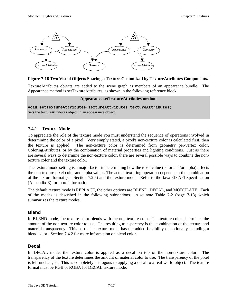

**Figure 7-16 Two Visual Objects Sharing a Texture Customized by TextureAttributes Components.**

TextureAttributes objects are added to the scene graph as members of an appearance bundle. The Appearance method is setTextureAttributes, as shown in the following reference block.

#### **Appearance setTextureAttributes method**

**void setTextureAttributes(TextureAttributes textureAttributes)** Sets the textureAttributes object in an appearance object.

## **7.4.1 Texture Mode**

To appreciate the role of the texture mode you must understand the sequence of operations involved in determining the color of a pixel. Very simply stated, a pixel's non-texture color is calculated first, then the texture is applied. The non-texture color is determined from geometry per-vertex color, ColoringAttributes, or by the combination of material properties and lighting conditions. Just as there are several ways to determine the non-texture color, there are several possible ways to combine the nontexture color and the texture color.

The texture mode setting is a major factor in determining how the texel value (color and/or alpha) affects the non-texture pixel color and alpha values. The actual texturing operation depends on the combination of the texture format (see Section 7.2.5) and the texture mode. Refer to the Java 3D API Specification (Appendix E) for more information.

The default texture mode is REPLACE, the other options are BLEND, DECAL, and MODULATE. Each of the modes is described in the following subsections. Also note Table 7-2 (page 7-18) which summarizes the texture modes.

## **Blend**

In BLEND mode, the texture color blends with the non-texture color. The texture color determines the amount of the non-texture color to use. The resulting transparency is the combination of the texture and material transparency. This particular texture mode has the added flexibility of optionally including a blend color. Section 7.4.2 for more information on blend color.

## **Decal**

In DECAL mode, the texture color is applied as a decal on top of the non-texture color. The transparency of the texture determines the amount of material color to use. The transparency of the pixel is left unchanged. This is completely analogous to applying a decal to a real world object. The texture format must be RGB or RGBA for DECAL texture mode.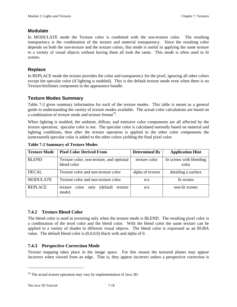## **Modulate**

In MODULATE mode the Texture color is combined with the non-texture color. The resulting transparency is the combination of the texture and material transparency. Since the resulting color depends on both the non-texture and the texture colors, this mode is useful in applying the same texture to a variety of visual objects without having them all look the same. This mode is often used in lit scenes.

## **Replace**

In REPLACE mode the texture provides the color and transparency for the pixel, ignoring all other colors except the specular color (if lighting is enabled). This is the default texture mode even when there is no TextureAttributes component in the appearance bundle.

## **Texture Modes Summary**

Table 7-2 gives summary information for each of the texture modes. This table is meant as a general guide to understanding the variety of texture modes available. The actual color calculations are based on a combination of texture mode and texture format<sup>10</sup>.

When lighting is enabled, the ambient, diffuse, and emissive color components are all affected by the texture operation; specular color is not. The specular color is calculated normally based on material and lighting conditions, then after the texture operation is applied to the other color components the (untextured) specular color is added to the other colors yielding the final pixel color.

| <b>Texture Mode</b> | <b>Pixel Color Derived From</b>                           | <b>Determined By</b> | <b>Application Hint</b>           |
|---------------------|-----------------------------------------------------------|----------------------|-----------------------------------|
| <b>BLEND</b>        | Texture color, non-texture, and optional<br>blend color   | texture color        | lit scenes with blending<br>color |
| <b>DECAL</b>        | Texture color and non-texture color                       | alpha of texture     | detailing a surface               |
| <b>MODULATE</b>     | Texture color and non-texture color                       | n/a                  | lit scenes                        |
| <b>REPLACE</b>      | (default)<br>only<br>color<br>texture<br>texture<br>mode) | n/a                  | non-lit scenes                    |

**Table 7-2 Summary of Texture Modes**

## **7.4.2 Texture Blend Color**

The blend color is used in texturing only when the texture mode is BLEND. The resulting pixel color is a combination of the texel color and the blend color. With the blend color the same texture can be applied in a variety of shades to different visual objects. The blend color is expressed as an RGBA value. The default blend color is (0,0,0,0) black with and alpha of 0.

## **7.4.3 Perspective Correction Mode**

Texture mapping takes place in the image space. For this reason the textured planes may appear incorrect when viewed from an edge. That is, they appear incorrect unless a perspective correction is

l

 $10$  The actual texture operation may vary by implementation of Java 3D.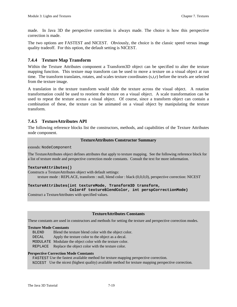made. In Java 3D the perspective correction is always made. The choice is how this perspective correction is made.

The two options are FASTEST and NICEST. Obviously, the choice is the classic speed versus image quality tradeoff. For this option, the default setting is NICEST.

## **7.4.4 Texture Map Transform**

Within the Texture Attributes component a Transform3D object can be specified to alter the texture mapping function. This texture map transform can be used to move a texture on a visual object at run time. The transform translates, rotates, and scales texture coordinates (s,t,r) before the texels are selected from the texture image.

A translation in the texture transform would slide the texture across the visual object. A rotation transformation could be used to reorient the texture on a visual object. A scale transformation can be used to repeat the texture across a visual object. Of course, since a transform object can contain a combination of these, the texture can be animated on a visual object by manipulating the texture transform.

## **7.4.5 TextureAttributes API**

The following reference blocks list the constructors, methods, and capabilities of the Texture Attributes node component.

#### **TextureAttributes Constructor Summary**

extends: NodeComponent

The TextureAttributes object defines attributes that apply to texture mapping. See the following reference block for a list of texture mode and perspective correction mode constants. Consult the text for more information.

#### **TextureAttributes()**

Constructs a TextureAttributes object with default settings: texture mode : REPLACE, transform : null, blend color : black (0,0,0,0), perspective correction: NICEST

#### **TextureAttributes(int textureMode, Transform3D transform,**

**Color4f textureBlendColor, int perspCorrectionMode)**

Construct a TextureAttributes with specified values.

#### **TextureAttributes Constants**

These constants are used in constructors and methods for setting the texture and perspective correction modes.

#### **Texture Mode Constants**

 BLEND Blend the texture blend color with the object color. DECAL Apply the texture color to the object as a decal. MODULATE Modulate the object color with the texture color. REPLACE Replace the object color with the texture color.

#### **Perspective Correction Mode Constants**

 FASTEST Use the fastest available method for texture mapping perspective correction. NICEST Use the nicest (highest quality) available method for texture mapping perspective correction.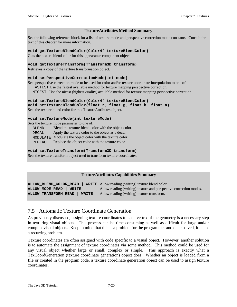#### **TextureAttributes Method Summary**

See the following reference block for a list of texture mode and perspective correction mode constants. Consult the text of this chapter for more information.

#### **void getTextureBlendColor(Color4f textureBlendColor)**

Gets the texture blend color for this appearance component object.

#### **void getTextureTransform(Transform3D transform)**

Retrieves a copy of the texture transformation object.

#### **void setPerspectiveCorrectionMode(int mode)**

Sets perspective correction mode to be used for color and/or texture coordinate interpolation to one of: FASTEST Use the fastest available method for texture mapping perspective correction.

NICEST Use the nicest (highest quality) available method for texture mapping perspective correction.

#### **void setTextureBlendColor(Color4f textureBlendColor)**

**void setTextureBlendColor(float r, float g, float b, float a)** Sets the texture blend color for this TextureAttributes object.

#### **void setTextureMode(int textureMode)**

Sets the texture mode parameter to one of:

BLEND Blend the texture blend color with the object color.

DECAL Apply the texture color to the object as a decal.

MODULATE Modulate the object color with the texture color.

REPLACE Replace the object color with the texture color.

#### **void setTextureTransform(Transform3D transform)**

Sets the texture transform object used to transform texture coordinates.

#### **TextureAttributes Capabilities Summary**

**ALLOW\_BLEND\_COLOR\_READ | WRITE** Allow reading (writing) texture blend color **ALLOW MODE READ | WRITE** Allow reading (writing) texture and perspective correction modes. **ALLOW\_TRANSFORM\_READ | WRITE** Allow reading (writing) texture transform.

## 7.5 Automatic Texture Coordinate Generation

As previously discussed, assigning texture coordinates to each vertex of the geometry is a necessary step in texturing visual objects. This process can be time consuming as well as difficult for large and/or complex visual objects. Keep in mind that this is a problem for the programmer and once solved, it is not a recurring problem.

Texture coordinates are often assigned with code specific to a visual object. However, another solution is to automate the assignment of texture coordinates via some method. This method could be used for any visual object whether large or small, complex or simple. This approach is exactly what a TexCoordGeneration (texture coordinate generation) object does. Whether an object is loaded from a file or created in the program code, a texture coordinate generation object can be used to assign texture coordinates.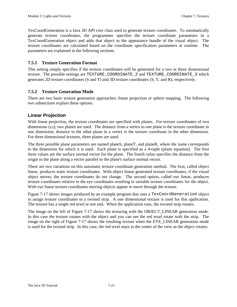TexCoordGeneration is a Java 3D API core class used to generate texture coordinates. To automatically generate texture coordinates, the programmer specifies the texture coordinate parameters in a TexCoordGeneration object and adds that object to the appearance bundle of the visual object. The texture coordinates are calculated based on the coordinate specification parameters at runtime. The parameters are explained in the following sections.

## **7.5.1 Texture Generation Format**

This setting simply specifies if the texture coordinates will be generated for a two or three dimensional texture. The possible settings are TEXTURE\_COORDINATE\_2 and TEXTURE\_COORDINATE\_3 which generates 2D texture coordinates (S and T) and 3D texture coordinates (S, T, and R), respectively.

## **7.5.2 Texture Generation Mode**

There are two basic texture generation approaches: linear projection or sphere mapping. The following two subsections explain these options.

## **Linear Projection**

With linear projection, the texture coordinates are specified with planes. For texture coordinates of two dimensions (s,t), two planes are used. The distance from a vertex to one plane is the texture coordinate in one dimension; distance to the other plane to a vertex is the texture coordinate in the other dimension. For three dimensional textures, three planes are used.

The three possible plane parameters are named planeS, planeT, and planeR, where the name corresponds to the dimension for which it is used. Each plane is specified as a 4-tuple (plane equation). The first three values are the surface normal vector for the plane. The fourth value specifies the distance from the origin to the plane along a vector parallel to the plane's surface normal vector.

There are two variations on this automatic texture coordinate generation method. The first, called object linear, produces static texture coordinates. With object linear generated texture coordinates, if the visual object moves, the texture coordinates do not change. The second option, called eye linear, produces texture coordinates relative to the eye coordinates resulting in variable texture coordinates for the object. With eye linear texture coordinates moving objects appear to move through the texture.

Figure 7-17 shows images produced by an example program that uses a TexCoordGeneration object to assign texture coordinates to a twisted strip. A one dimensional texture is used for this application. The texture has a single red texel at one end. When the application runs, the twisted strip rotates.

The image on the left of Figure 7-17 shows the texturing with the OBJECT\_LINEAR generation mode. In this case the texture rotates with the object and you can see the red texel rotate with the strip. The image on the right of Figure 7-17 shows the resulting texture when the EYE\_LINEAR generation mode is used for the twisted strip. In this case, the red texel stays in the center of the view as the object rotates.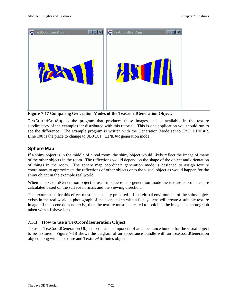

**Figure 7-17 Comparing Generation Modes of the TexCoordGeneration Object.**

TexCoordGenApp is the program that produces these images and is available in the texture subdirectory of the examples jar distributed with this tutorial. This is one application you should run to see the difference. The example program is written with the Generation Mode set to EYE\_LINEAR. Line 100 is the place to change to OBJECT LINEAR generation mode.

## **Sphere Map**

If a shiny object is in the middle of a real room, the shiny object would likely reflect the image of many of the other objects in the room. The reflections would depend on the shape of the object and orientation of things in the room. The sphere map coordinate generation mode is designed to assign texture coordinates to approximate the reflections of other objects onto the visual object as would happen for the shiny object in the example real world.

When a TexCoordGeneration object is used in sphere map generation mode the texture coordinates are calculated based on the surface normals and the viewing direction.

The texture used for this effect must be specially prepared. If the virtual environment of the shiny object exists in the real world, a photograph of the scene taken with a fisheye lens will create a suitable texture image. If the scene does not exist, then the texture must be created to look like the image is a photograph taken with a fisheye lens.

## **7.5.3 How to use a TexCoordGeneration Object**

To use a TexCoordGeneration Object, set it as a component of an appearance bundle for the visual object to be textured. Figure 7-18 shows the diagram of an appearance bundle with an TexCoordGeneration object along with a Texture and TextureAttributes object.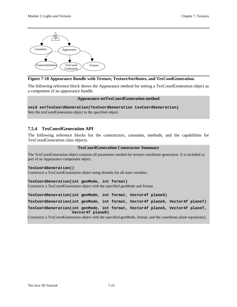

## **Figure 7-18 Appearance Bundle with Texture, TextureAttributes, and TexCoodGeneration.**

The following reference block shows the Appearance method for setting a TexCoordGeneration object as a component of an appearance bundle.

#### **Appearance setTexCoordGeneration method**

**void setTexCoordGeneration(TexCoordGeneration texCoordGeneration)** Sets the texCoordGeneration object to the specified object.

## **7.5.4 TexCoordGeneration API**

The following reference blocks list the constructors, constants, methods, and the capabilities for TexCoordGeneration class objects.

#### **TexCoordGeneration Constructor Summary**

The TexCoordGeneration object contains all parameters needed for texture coordinate generation. It is included as part of an Appearance component object.

#### **TexCoordGeneration()**

Constructs a TexCoordGeneration object using defaults for all state variables.

**TexCoordGeneration(int genMode, int format)**

Constructs a TexCoordGeneration object with the specified genMode and format.

**TexCoordGeneration(int genMode, int format, Vector4f planeS)**

**TexCoordGeneration(int genMode, int format, Vector4f planeS, Vector4f planeT)**

**TexCoordGeneration(int genMode, int format, Vector4f planeS, Vector4f planeT, Vector4f planeR)**

Constructs a TexCoordGeneration object with the specified genMode, format, and the coordinate plane equation(s).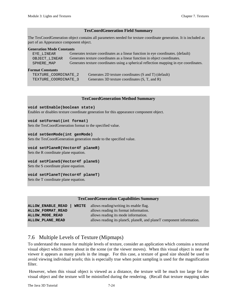#### **TexCoordGeneration Field Summary**

The TexCoordGeneration object contains all parameters needed for texture coordinate generation. It is included as part of an Appearance component object.

#### **Generation Mode Constants**

| EYE LINEAR    | Generates texture coordinates as a linear function in eye coordinates. (default)       |
|---------------|----------------------------------------------------------------------------------------|
| OBJECT LINEAR | Generates texture coordinates as a linear function in object coordinates.              |
| SPHERE MAP    | Generates texture coordinates using a spherical reflection mapping in eye coordinates. |
|               |                                                                                        |

#### **Format Constants**

| TEXTURE COORDINATE 2 | Generates 2D texture coordinates (S and T) (default) |
|----------------------|------------------------------------------------------|
| TEXTURE COORDINATE 3 | Generates 3D texture coordinates (S, T, and R)       |

#### **TexCoordGeneration Method Summary**

#### **void setEnable(boolean state)**

Enables or disables texture coordinate generation for this appearance component object.

#### **void setFormat(int format)**

Sets the TexCoordGeneration format to the specified value.

#### **void setGenMode(int genMode)**

Sets the TexCoordGeneration generation mode to the specified value.

#### **void setPlaneR(Vector4f planeR)**

Sets the R coordinate plane equation.

#### **void setPlaneS(Vector4f planeS)**

Sets the S coordinate plane equation.

#### **void setPlaneT(Vector4f planeT)**

Sets the T coordinate plane equation.

#### **TexCoordGeneration Capabilities Summary**

| <b>ALLOW ENABLE READ</b>   WRITE allows reading/writing its enable flag. |                                                                      |
|--------------------------------------------------------------------------|----------------------------------------------------------------------|
| <b>ALLOW FORMAT READ</b>                                                 | allows reading its format information.                               |
| ALLOW MODE READ                                                          | allows reading its mode information.                                 |
| <b>ALLOW PLANE READ</b>                                                  | allows reading its planeS, planeR, and planeT component information. |

## 7.6 Multiple Levels of Texture (Mipmaps)

To understand the reason for multiple levels of texture, consider an application which contains a textured visual object which moves about in the scene (or the viewer moves). When this visual object is near the viewer it appears as many pixels in the image. For this case, a texture of good size should be used to avoid viewing individual texels; this is especially true when point sampling is used for the magnification filter.

 However, when this visual object is viewed as a distance, the texture will be much too large for the visual object and the texture will be mininified during the rendering. (Recall that texture mapping takes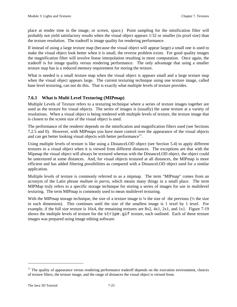place at render time in the image, or screen, space.) Point sampling for the minification filter will probably not yield satisfactory results when the visual object appears 1/32 or smaller (in pixel size) than the texture resolution. The tradeoff is image quality for rendering performance.

If instead of using a large texture map (because the visual object will appear large) a small one is used to make the visual object look better when it is small, the reverse problem exists. For good quality images the magnification filter will involve linear interpolation resulting in more computation. Once again, the tradeoff is for image quality versus rendering performance. The only advantage that using a smaller texture map has is a reduced memory requirement for storing the texture.

What is needed is a small texture map when the visual object is appears small and a large texture map when the visual object appears large. The current texturing technique using one texture image, called base level texturing, can not do this. That is exactly what multiple levels of texture provides.

## **7.6.1 What is Multi Level Texturing (MIPmap)**

Multiple Levels of Texture refers to a texturing technique where a series of texture images together are used as the texture for visual objects. The series of images is (usually) the same texture at a variety of resolutions. When a visual object is being rendered with multiple levels of texture, the texture image that is closest to the screen size of the visual object is used.

The performance of the renderer depends on the minification and magnification filters used (see Sections 7.2.5 and 0). However, with MIPmaps you have more control over the appearance of the visual objects and can get better looking visual objects with better performance $11$ .

Using multiple levels of texture is like using a DistanceLOD object (see Section 5.4) to apply different textures to a visual object when it is viewed from different distances. The exceptions are that with the Mipmap the visual object will always be textured whereas with the DistanceLOD object, the object could be untextured at some distances. And, for visual objects textured at all distances, the MIPmap is more efficient and has added filtering possibilities as compared with a DistanceLOD object used for a similar application.

Multiple levels of texture is commonly referred to as a mipmap. The term "MIPmap" comes from an acronym of the Latin phrase *multum in parvo,* which means many things in a small place. The term MIPMap truly refers to a specific storage technique for storing a series of images for use in multilevel texturing. The term MIPmap is commonly used to mean multilevel texturing.

With the MIPmap storage technique, the size of a texture image is  $\frac{1}{4}$  the size of the previous ( $\frac{1}{2}$  the size in each dimension). This continues until the size of the smallest image is 1 texel by 1 texel. For example, if the full size texture is 16x4, the remaining textures are 8x2, 4x1, 2x1, and 1x1. Figure 7-19 shows the multiple levels of texture for the stripe.gif texture, each outlined. Each of these texture images was prepared using image editing software.

 $\overline{a}$ 

 $11$  The quality of appearance versus rendering performance tradeoff depends on the execution environment, choices of texture filters, the texture image, and the range of distances the visual object is viewed from.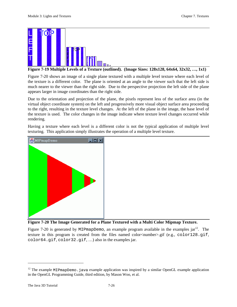

**Figure 7-19 Multiple Levels of a Texture (outlined). (Image Sizes: 128x128, 64x64, 32x32, …, 1x1)**

Figure 7-20 shows an image of a single plane textured with a multiple level texture where each level of the texture is a different color. The plane is oriented at an angle to the viewer such that the left side is much nearer to the viewer than the right side. Due to the perspective projection the left side of the plane appears larger in image coordinates than the right side.

Due to the orientation and projection of the plane, the pixels represent less of the surface area (in the virtual object coordinate system) on the left and progressively more visual object surface area proceeding to the right, resulting in the texture level changes. At the left of the plane in the image, the base level of the texture is used. The color changes in the image indicate where texture level changes occurred while rendering.

Having a texture where each level is a different color is not the typical application of multiple level texturing. This application simply illustrates the operation of a multiple level texture.



**Figure 7-20 The Image Generated for a Plane Textured with a Multi Color Mipmap Texture.**

Figure 7-20 is generated by MIPmapDemo, an example program available in the examples  $jar^{12}$ . The texture in this program is created from the files named color<number>.gif (e.g., color128.gif, color64.gif, color32.gif, …) also in the examples jar.

 $\overline{a}$ 

<sup>&</sup>lt;sup>12</sup> The example MIPmapDemo. java example application was inspired by a similar OpenGL example application in the OpenGL Programming Guide, third edition, by Mason Woo, et al.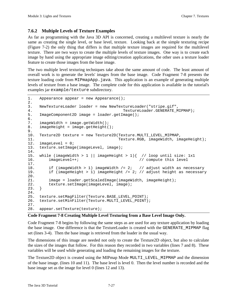## **7.6.2 Multiple Levels of Texture Examples**

As far as programming with the Java 3D API is concerned, creating a multilevel texture is nearly the same as creating the single level, or base level, texture. Looking back at the simple texturing recipe (Figure 7-2) the only thing that differs is that multiple texture images are required for the multilevel texture. There are two ways to create the multiple levels of texture images. One way is to create each image by hand using the appropriate image editing/creation applications, the other uses a texture loader feature to create those images from the base image.

The two multiple level texturing techniques take about the same amount of code. The least amount of overall work is to generate the levels' images from the base image. Code Fragment 7-8 presents the texture loading code from MIPmapApp. java. This application is an example of generating multiple levels of texture from a base image. The complete code for this application is available in the tutorial's examples jar example/texture subdirectory.

```
1. Appearance appear = new Appearance();
2.
3. NewTextureLoader loader = new NewTextureLoader("stripe.gif",
4. TextureLoader.GENERATE_MIPMAP);
5. ImageComponent2D image = loader.getImage();
6.
7. imageWidth = image.getWidth();
8. imageHeight = image.getHeight();
9.
10. Texture2D texture = new Texture2D(Texture.MULTI_LEVEL_MIPMAP,
11. Texture.RGB, imageWidth, imageHeight);
12. imageLevel = 0;
13. texture.setImage(imageLevel, image);
14.
15. while (imageWidth > 1 || imageHeight > 1){ // loop until size: 1x1
16. imageLevel++; // compute this level
17.
18. if (imageWidth > 1) imageWidth /= 2; // adjust width as necessary<br>19. if (imageHeight > 1) imageHeight /= 2; // adjust height as necessary
        if (imageHeight > 1) imageHeight /= 2; // adjust height as necessary
20.
21. image = loader.getScaledImage(imageWidth, imageHeight);
22. texture.setImage(imageLevel, image);<br>23. }
23.24.
25. texture.setMagFilter(Texture.BASE_LEVEL_POINT);
26. texture.setMinFilter(Texture.MULTI_LEVEL_POINT);
27.
28. appear.setTexture(texture);
```
#### **Code Fragment 7-8 Creating Multiple Level Texturing from a Base Level Image Only.**

Code Fragment 7-8 begins by following the same steps as are used for any texture application by loading the base image. One difference is that the TextureLoader is created with the GENERATE\_MIPMAP flag set (lines 3-4). Then the base image is retrieved from the loader in the usual way.

The dimensions of this image are needed not only to create the Texture2D object, but also to calculate the sizes of the images that follow. For this reason they recorded in two variables (lines 7 and 8). These variables will be used while generating and loading the remaining images for the texture.

The Texture2D object is created using the MIPmap Mode MULTI\_LEVEL\_MIPMAP and the dimension of the base image. (lines 10 and 11). The base level is level 0. Then the level number is recorded and the base image set as the image for level 0 (lines 12 and 13).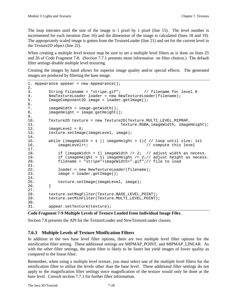The loop interates until the size of the image is 1 pixel by 1 pixel (line 15). The level number is incremented for each iteration (line 16) and the dimension of the image is calculated (lines 18 and 19). The appropriately scaled image is gotten from the TextureLoader (line 21) and set for the current level in the Texture2D object (line 22).

When creating a multiple level texture map be sure to set a multiple level filters as is done on lines 25 and 26 of Code Fragment 7-8. (Section 7.7.1 presents more information on filter choices.) The default filter settings disable multiple level texturing.

Creating the images by hand allows for superior image quality and/or special effects. The generated images are produced by filtering the base image.

```
1. Appearance appear = new Appearance();
2.
3. String filename = "stripe.gif"; // filename for level 0
4. NewTextureLoader loader = new NewTextureLoader(filename);
5. ImageComponent2D image = loader.getImage();
6.
7. imageWidth = image.getWidth();
8. imageHeight = image.getHeight();
9.
10. Texture2D texture = new Texture2D(Texture.MULTI_LEVEL_MIPMAP,
11. Texture.RGBA, imageWidth, imageHeight);
12. imageLevel = 0;
13. texture.setImage(imageLevel, image);
14.
15. while (imageWidth > 1 || imageHeight > 1){ // loop until size: 1x1
16. imageLevel++; // compute this level
17.
18. if (imageWidth > 1) imageWidth / = 2i // adjust width as necess.
19. if (imageHeight > 1) imageHeight /= 2;// adjust height as necess.
20. filename = "stripe"+imageWidth+".gif";// file to load
21.
22. loader = new NewTextureLoader(filename);
23. image = loader.getImage();
24.
25. texture.setImage(imageLevel, image);<br>26. }
26. }
27.
28. texture.setMagFilter(Texture.BASE_LEVEL_POINT);<br>29. texture.setMinFilter(Texture.MULTI_LEVEL_POINT)
        29. texture.setMinFilter(Texture.MULTI_LEVEL_POINT);
30.
31. appear.setTexture(texture);
```

```
Code Fragment 7-9 Multiple Levels of Texture Loaded from Individual Image Files.
```
Section 7.8 presents the API for the TextureLoader and NewTextureLoader classes.

## **7.6.3 Multiple Levels of Texture Minification Filters**

In addition to the two base level filter options, there are two multiple level filter options for the minification filter setting. These additional settings are MIPMAP\_POINT, and MIPMAP\_LINEAR. As with the other filter settings, the point filter is likely to be faster but yield images of lower quality as compared to the linear filter.

Remember, when using a multiple level texture, you must select one of the multiple level filters for the minification filter to utilize the levels other than the base level. These additional filter settings do not apply to the magnification filter settings since magnification of the texture would only be done at the base level. Consult section 7.7.1 for further filter information.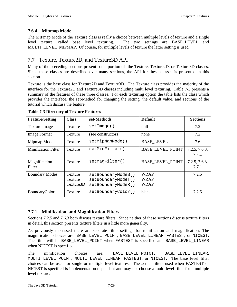## **7.6.4 Mipmap Mode**

The MIPmap Mode of the Texture class is really a choice between multiple levels of texture and a single level texture, called base level texturing. The two settings are BASE\_LEVEL and MULTI LEVEL MIPMAP. Of course, for multiple levels of texture the latter setting is used.

## 7.7 Texture, Texture2D, and Texture3D API

Many of the preceding sections present some portion of the Texture, Texture2D, or Texture3D classes. Since these classes are described over many sections, the API for these classes is presented in this section.

Texture is the base class for Texture2D and Texture3D. The Texture class provides the majority of the interface for the Texture2D and Texture3D classes including multi level texturing. Table 7-3 presents a summary of the features of these three classes. For each texturing option the table lists the class which provides the interface, the set-Method for changing the setting, the default value, and sections of the tutorial which discuss the feature.

| <b>Feature/Setting</b>     | <b>Class</b>                           | set-Methods                                                    | <b>Default</b>                            | <b>Sections</b>        |
|----------------------------|----------------------------------------|----------------------------------------------------------------|-------------------------------------------|------------------------|
| <b>Texture Image</b>       | <b>Texture</b>                         | setImage()                                                     | null                                      | 7.2                    |
| <b>Image Format</b>        | Texture                                | (see constructors)                                             | none                                      | 7.2                    |
| Mipmap Mode                | <b>Texture</b>                         | setMipMapMode()                                                | <b>BASE_LEVEL</b>                         | 7.6                    |
| <b>Minification Filter</b> | Texture                                | setMinFilter()                                                 | <b>BASE LEVEL POINT</b>                   | 7.2.5, 7.6.3,<br>7.7.1 |
| Magnification<br>Filter    | Texture                                | setMagFilter()                                                 | <b>BASE LEVEL POINT</b>                   | 7.2.5, 7.6.3,<br>7.7.1 |
| <b>Boundary Modes</b>      | Texture<br><b>Texture</b><br>Texture3D | setBoundaryModeS()<br>setBoundaryModeT()<br>setBoundaryModeR() | <b>WRAP</b><br><b>WRAP</b><br><b>WRAP</b> | 7.2.5                  |
| BoundaryColor              | Texture                                | setBoundaryColor()                                             | black                                     | 7.2.5                  |

**Table 7-3 Directory of Texture Features**

## **7.7.1 Minification and Magnification Filters**

Sections 7.2.5 and 7.6.3 both discuss texture filters. Since neither of these sections discuss texture filters in detail, this section presents texture filters in a little more generality.

As previously discussed there are separate filter settings for minification and magnification. The magnification choices are: BASE\_LEVEL\_POINT, BASE\_LEVEL\_LINEAR, FASTEST, or NICEST. The filter will be BASE\_LEVEL\_POINT when FASTEST is specified and BASE\_LEVEL\_LINEAR when NICEST is specified.

The minification choices are: BASE\_LEVEL\_POINT, BASE\_LEVEL\_LINEAR, MULTI\_LEVEL\_POINT, MULTI\_LEVEL\_LINEAR, FASTEST, or NICEST. The base level filter choices can be used for single or multiple level textures. The actual filters used when FASTEST or NICEST is specified is implementation dependant and may not choose a multi level filter for a multiple level texture.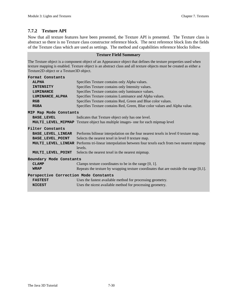## **7.7.2 Texture API**

Now that all texture features have been presented, the Texture API is presented. The Texture class is abstract so there is no Texture class constructor reference block. The next reference block lists the fields of the Texture class which are used as settings. The method and capabilities reference blocks follow.

#### **Texture Field Summary**

The Texture object is a component object of an Appearance object that defines the texture properties used when texture mapping is enabled. Texture object is an abstract class and all texture objects must be created as either a Texture2D object or a Texture3D object.

| Format Constants                      |                                                                                               |
|---------------------------------------|-----------------------------------------------------------------------------------------------|
| <b>ALPHA</b>                          | Specifies Texture contains only Alpha values.                                                 |
| <b>INTENSITY</b>                      | Specifies Texture contains only Intensity values.                                             |
| <b>LUMINANCE</b>                      | Specifies Texture contains only luminance values.                                             |
| LUMINANCE ALPHA                       | Specifies Texture contains Luminance and Alpha values.                                        |
| RGB                                   | Specifies Texture contains Red, Green and Blue color values.                                  |
| <b>RGBA</b>                           | Specifies Texture contains Red, Green, Blue color values and Alpha value.                     |
| MIP Map Mode Constants                |                                                                                               |
| <b>BASE LEVEL</b>                     | Indicates that Texture object only has one level.                                             |
|                                       | <b>MULTI_LEVEL_MIPMAP</b> Texture object has multiple images- one for each mipmap level       |
| Filter Constants                      |                                                                                               |
| <b>BASE LEVEL LINEAR</b>              | Performs bilinear interpolation on the four nearest texels in level 0 texture map.            |
| <b>BASE_LEVEL_POINT</b>               | Selects the nearest texel in level 0 texture map.                                             |
| MULTI LEVEL LINEAR                    | Performs tri-linear interpolation between four texels each from two nearest mipmap<br>levels. |
| MULTI LEVEL POINT                     | Selects the nearest texel in the nearest mipmap.                                              |
| Boundary Mode Constants               |                                                                                               |
| <b>CLAMP</b>                          | Clamps texture coordinates to be in the range $[0, 1]$ .                                      |
| <b>WRAP</b>                           | Repeats the texture by wrapping texture coordinates that are outside the range $[0,1]$ .      |
| Perspective Correction Mode Constants |                                                                                               |
| <b>FASTEST</b>                        | Uses the fastest available method for processing geometry.                                    |
| <b>NICEST</b>                         | Uses the nicest available method for processing geometry.                                     |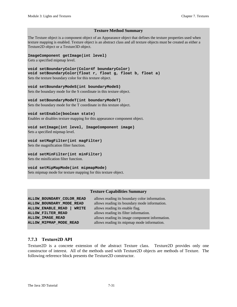#### **Texture Method Summary**

The Texture object is a component object of an Appearance object that defines the texture properties used when texture mapping is enabled. Texture object is an abstract class and all texture objects must be created as either a Texture2D object or a Texture3D object.

#### **ImageComponent getImage(int level)**

Gets a specified mipmap level.

```
void setBoundaryColor(Color4f boundaryColor)
void setBoundaryColor(float r, float g, float b, float a)
Sets the texture boundary color for this texture object.
```
**void setBoundaryModeS(int boundaryModeS)**

Sets the boundary mode for the S coordinate in this texture object.

**void setBoundaryModeT(int boundaryModeT)** Sets the boundary mode for the T coordinate in this texture object.

#### **void setEnable(boolean state)**

Enables or disables texture mapping for this appearance component object.

#### **void setImage(int level, ImageComponent image)**

Sets a specified mipmap level.

#### **void setMagFilter(int magFilter)**

Sets the magnification filter function.

## **void setMinFilter(int minFilter)**

Sets the minification filter function.

#### **void setMipMapMode(int mipmapMode)**

Sets mipmap mode for texture mapping for this texture object.

#### **Texture Capabilities Summary**

**ALLOW\_BOUNDARY\_COLOR\_READ** allows reading its boundary color information. **ALLOW\_ENABLE\_READ | WRITE** allows reading its enable flag. **ALLOW FILTER READ** allows reading its filter information. **ALLOW\_MIPMAP\_MODE\_READ** allows reading its mipmap mode information.

**ALLOW BOUNDARY MODE READ** allows reading its boundary mode information. **ALLOW\_IMAGE\_READ** allows reading its image component information.

## **7.7.3 Texture2D API**

Texture2D is a concrete extension of the abstract Texture class. Texture2D provides only one constructor of interest. All of the methods used with Texture2D objects are methods of Texture. The following reference block presents the Texture2D constructor.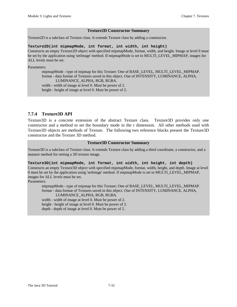#### **Texture2D Constructor Summary**

Texture2D is a subclass of Texture class. It extends Texture class by adding a constructor.

#### **Texture2D(int mipmapMode, int format, int width, int height)**

Constructs an empty Texture2D object with specified mipmapMode, format, width, and height. Image at level 0 must be set by the application using 'setImage' method. If mipmapMode is set to MULTI\_LEVEL\_MIPMAP, images for ALL levels must be set.

Parameters:

mipmapMode - type of mipmap for this Texture: One of BASE\_LEVEL, MULTI\_LEVEL\_MIPMAP. format - data format of Textures saved in this object. One of INTENSITY, LUMINANCE, ALPHA, LUMINANCE\_ALPHA, RGB, RGBA. width - width of image at level 0. Must be power of 2. height - height of image at level 0. Must be power of 2.

## **7.7.4 Texture3D API**

Texture3D is a concrete extension of the abstract Texture class. Texture3D provides only one constructor and a method to set the boundary mode in the r dimension. All other methods used with Texture3D objects are methods of Texture. The following two reference blocks present the Texture3D constructor and the Texture 3D method.

#### **Texture3D Constructor Summary**

Texture3D is a subclass of Texture class. It extends Texture class by adding a third coordinate, a constructor, and a mutator method for setting a 3D texture image.

#### **Texture3D(int mipmapMode, int format, int width, int height, int depth)**

Constructs an empty Texture3D object with specified mipmapMode, format, width, height, and depth. Image at level 0 must be set by the application using 'setImage' method. If mipmapMode is set to MULTI\_LEVEL\_MIPMAP, images for ALL levels must be set.

Parameters:

mipmapMode - type of mipmap for this Texture: One of BASE\_LEVEL, MULTI\_LEVEL\_MIPMAP. format - data format of Textures saved in this object. One of INTENSITY, LUMINANCE, ALPHA, LUMINANCE\_ALPHA, RGB, RGBA. width - width of image at level 0. Must be power of 2. height - height of image at level 0. Must be power of 2.

depth - depth of image at level 0. Must be power of 2.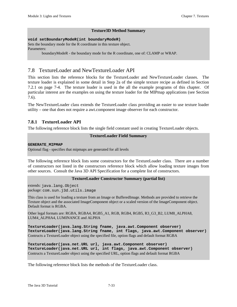#### **Texture3D Method Summary**

#### **void setBoundaryModeR(int boundaryModeR)**

Sets the boundary mode for the R coordinate in this texture object. Parameters:

boundaryModeR - the boundary mode for the R coordinate, one of: CLAMP or WRAP.

## 7.8 TextureLoader and NewTextureLoader API

This section lists the reference blocks for the TextureLoader and NewTextureLoader classes. The texture loader is explained in some detail in Step 2a of the simple texture recipe as defined in Section 7.2.1 on page 7-4. The texture loader is used in the all the example programs of this chapter. Of particular interest are the examples on using the texture loader for the MIPmap applications (see Section 7.6).

The NewTextureLoader class extends the TextureLoader class providing an easier to use texture loader utility – one that does not require a awt.component image observer for each constructor.

## **7.8.1 TextureLoader API**

The following reference block lists the single field constant used in creating TextureLoader objects.

#### **TextureLoader Field Summary**

#### **GENERATE\_MIPMAP**

Optional flag - specifies that mipmaps are generated for all levels

The following reference block lists some constructors for the TextureLoader class. There are a number of constructors not listed in the constructors reference block which allow loading texture images from other sources. Consult the Java 3D API Specification for a complete list of constructors.

#### **TextureLoader Constructor Summary (partial list)**

extends: java.lang.Object package: com.sun.j3d.utils.image

This class is used for loading a texture from an Image or BufferedImage. Methods are provided to retrieve the Texture object and the associated ImageComponent object or a scaled version of the ImageComponent object. Default format is RGBA.

Other legal formats are: RGBA, RGBA4, RGB5\_A1, RGB, RGB4, RGB5, R3\_G3\_B2, LUM8\_ALPHA8, LUM4\_ALPHA4, LUMINANCE and ALPHA

**TextureLoader(java.lang.String fname, java.awt.Component observer) TextureLoader(java.lang.String fname, int flags, java.awt.Component observer)** Contructs a TextureLoader object using the specified file, option flags and default format RGBA

**TextureLoader(java.net.URL url, java.awt.Component observer) TextureLoader(java.net.URL url, int flags, java.awt.Component observer)** Contructs a TextureLoader object using the specified URL, option flags and default format RGBA

The following reference block lists the methods of the TextureLoader class.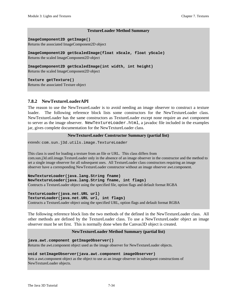#### **TextureLoader Method Summary**

**ImageComponent2D getImage()** Returns the associated ImageComponent2D object

**ImageComponent2D getScaledImage(float xScale, float yScale)**

Returns the scaled ImageComponent2D object

**ImageComponent2D getScaledImage(int width, int height)** Returns the scaled ImageComponent2D object

**Texture getTexture()** Returns the associated Texture object

## **7.8.2 NewTextureLoaderAPI**

The reason to use the NewTexureLoader is to avoid needing an image observer to construct a texture loader. The following reference block lists some constructors for the NewTextureLoader class. NewTextureLoader has the same constructors as TextureLoader except none require an awt component to server as the image observer. NewTextureLoader.html, a javadoc file included in the examples jar, gives complete documentation for the NewTextureLoader class.

#### **NewTextureLoader Constructor Summary (partial list)**

extends: com.sun.j3d.utils.image.TextureLoader

This class is used for loading a texture from an file or URL. This class differs from com.sun.j3d.util.image.TextureLoader only in the absence of an image observer in the constructor and the method to set a single image observer for all subsequent uses. All TextureLoader class constructors requiring an image observer have a corresponding NewTextureLoader constructor without an image observer awt.component.

**NewTextureLoader(java.lang.String fname) NewTextureLoader(java.lang.String fname, int flags)** Contructs a TextureLoader object using the specified file, option flags and default format RGBA

**TextureLoader(java.net.URL url) TextureLoader(java.net.URL url, int flags)** Contructs a TextureLoader object using the specified URL, option flags and default format RGBA

The following reference block lists the two methods of the defined in the NewTextureLoader class. All other methods are defined by the TextureLoader class. To use a NewTextureLoader object an image observer must be set first. This is normally done when the Canvas3D object is created.

#### **NewTextureLoader Method Summary (partial list)**

**java.awt.component getImageObserver()** Returns the awt.component object used as the image observer for NewTextureLoader objects.

#### **void setImageObserver(java.awt.component imageObserver)**

Sets a awt.component object as the object to use as an image observer in subsequent constructions of NewTextureLoader objects.